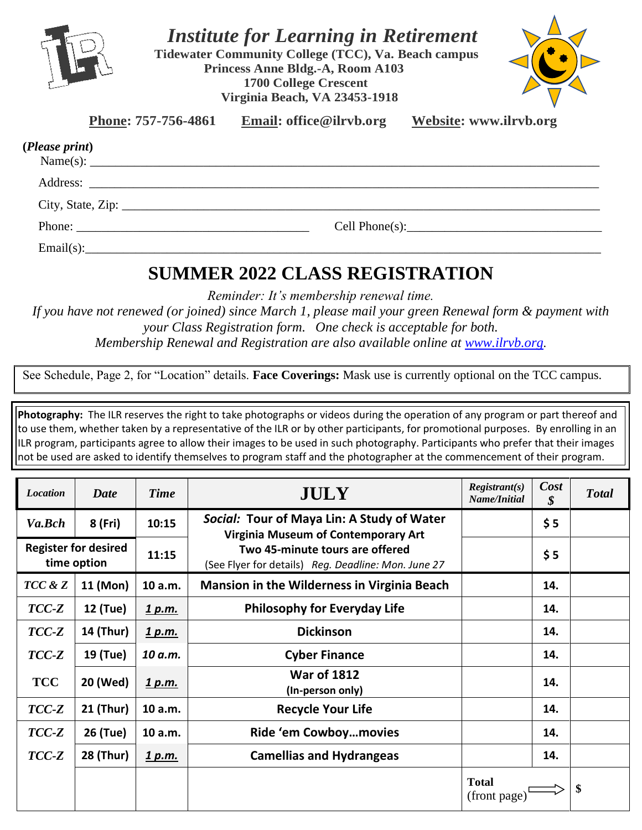

 *Institute for Learning in Retirement*

**Tidewater Community College (TCC), Va. Beach campus Princess Anne Bldg.-A, Room A103 1700 College Crescent Virginia Beach, VA 23453-1918**



**Phone: 757-756-4861 Email: office@ilrvb.org Website: www.ilrvb.org**

| (Please print)                                                                                                                                                                                                                                                                                                                                                                                               |                |  |
|--------------------------------------------------------------------------------------------------------------------------------------------------------------------------------------------------------------------------------------------------------------------------------------------------------------------------------------------------------------------------------------------------------------|----------------|--|
|                                                                                                                                                                                                                                                                                                                                                                                                              |                |  |
|                                                                                                                                                                                                                                                                                                                                                                                                              |                |  |
|                                                                                                                                                                                                                                                                                                                                                                                                              |                |  |
| Phone: $\frac{1}{\sqrt{1-\frac{1}{2}}\sqrt{1-\frac{1}{2}}\sqrt{1-\frac{1}{2}}\sqrt{1-\frac{1}{2}}\sqrt{1-\frac{1}{2}}\sqrt{1-\frac{1}{2}}\sqrt{1-\frac{1}{2}}\sqrt{1-\frac{1}{2}}\sqrt{1-\frac{1}{2}}\sqrt{1-\frac{1}{2}}\sqrt{1-\frac{1}{2}}\sqrt{1-\frac{1}{2}}\sqrt{1-\frac{1}{2}}\sqrt{1-\frac{1}{2}}\sqrt{1-\frac{1}{2}}\sqrt{1-\frac{1}{2}}\sqrt{1-\frac{1}{2}}\sqrt{1-\frac{1}{2}}\sqrt{1-\frac{1}{2$ | Cell Phone(s): |  |
| Email(s):                                                                                                                                                                                                                                                                                                                                                                                                    |                |  |

## **SUMMER 2022 CLASS REGISTRATION**

*Reminder: It's membership renewal time.* 

*If you have not renewed (or joined) since March 1, please mail your green Renewal form & payment with your Class Registration form. One check is acceptable for both. Membership Renewal and Registration are also available online at [www.ilrvb.org](about:blank).*

See Schedule, Page 2, for "Location" details. **Face Coverings:** Mask use is currently optional on the TCC campus.

**Photography:** The ILR reserves the right to take photographs or videos during the operation of any program or part thereof and to use them, whether taken by a representative of the ILR or by other participants, for promotional purposes. By enrolling in an ILR program, participants agree to allow their images to be used in such photography. Participants who prefer that their images not be used are asked to identify themselves to program staff and the photographer at the commencement of their program.

| <b>Location</b> | <b>Date</b>                                | <b>Time</b>   | <b>JULY</b>                                                                                                                                                                        | $Registrant(s)$<br>Name/Initial | Cost<br>\$ | <b>Total</b> |
|-----------------|--------------------------------------------|---------------|------------------------------------------------------------------------------------------------------------------------------------------------------------------------------------|---------------------------------|------------|--------------|
| Va.Bch          | 8 (Fri)                                    | 10:15         | Social: Tour of Maya Lin: A Study of Water<br><b>Virginia Museum of Contemporary Art</b><br>Two 45-minute tours are offered<br>(See Flyer for details) Reg. Deadline: Mon. June 27 |                                 | \$5        |              |
|                 | <b>Register for desired</b><br>time option | 11:15         |                                                                                                                                                                                    |                                 | \$5        |              |
| TCC & Z         | 11 (Mon)                                   | 10 a.m.       | <b>Mansion in the Wilderness in Virginia Beach</b>                                                                                                                                 |                                 | 14.        |              |
| $TCC-Z$         | <b>12 (Tue)</b>                            | <u>1 p.m.</u> | <b>Philosophy for Everyday Life</b>                                                                                                                                                |                                 | 14.        |              |
| $TCC-Z$         | <b>14 (Thur)</b>                           | <u>1 p.m.</u> | <b>Dickinson</b>                                                                                                                                                                   |                                 | 14.        |              |
| $TCC-Z$         | 19 (Tue)                                   | 10 a.m.       | <b>Cyber Finance</b>                                                                                                                                                               |                                 | 14.        |              |
| <b>TCC</b>      | 20 (Wed)                                   | <u>1 p.m.</u> | <b>War of 1812</b><br>(In-person only)                                                                                                                                             |                                 | 14.        |              |
| $TCC-Z$         | <b>21 (Thur)</b>                           | 10 a.m.       | <b>Recycle Your Life</b>                                                                                                                                                           |                                 | 14.        |              |
| $TCC-Z$         | 26 (Tue)                                   | 10 a.m.       | Ride 'em Cowboymovies                                                                                                                                                              |                                 | 14.        |              |
| TCC-Z           | <b>28 (Thur)</b>                           | <u>1 p.m.</u> | <b>Camellias and Hydrangeas</b>                                                                                                                                                    |                                 | 14.        |              |
|                 |                                            |               |                                                                                                                                                                                    | <b>Total</b><br>(front page)    |            | \$           |